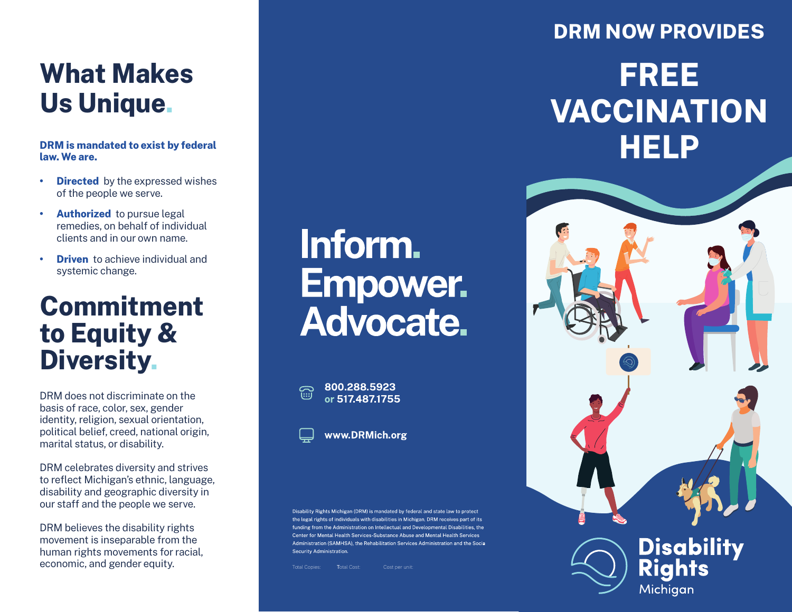# **What Makes Us Unique.**

**DRM is mandated to exist by federal law. We are.**

- **• Directed** by the expressed wishes of the people we serve.
- **• Authorized** to pursue legal remedies, on behalf of individual clients and in our own name.
- **• Driven** to achieve individual and systemic change.

### **Commitment to Equity & Diversity.**

DRM does not discriminate on the basis of race, color, sex, gender identity, religion, sexual orientation, political belief, creed, national origin, marital status, or disability.

DRM celebrates diversity and strives to reflect Michigan's ethnic, language, disability and geographic diversity in our staff and the people we serve.

DRM believes the disability rights movement is inseparable from the human rights movements for racial, economic, and gender equity.

# Inform. **Empower. Advocate.**

800.288.5923  $\widehat{\mathbb{R}}$ or 517.487.1755



Disability Rights Michigan (DRM) is mandated by federal and state law to protect the legal rights of individuals with disabilities in Michigan. DRM receives part of its funding from the Administration on Intellectual and Developmental Disabilities, the Center for Mental Health Services-Substance Abuse and Mental Health Services Administration (SAMHSA), the Rebabilitation Services Administration and the Social Security Administration

### **DRM NOW PROVIDES**

# **FREE VACCINATION HELP**



Michiaan